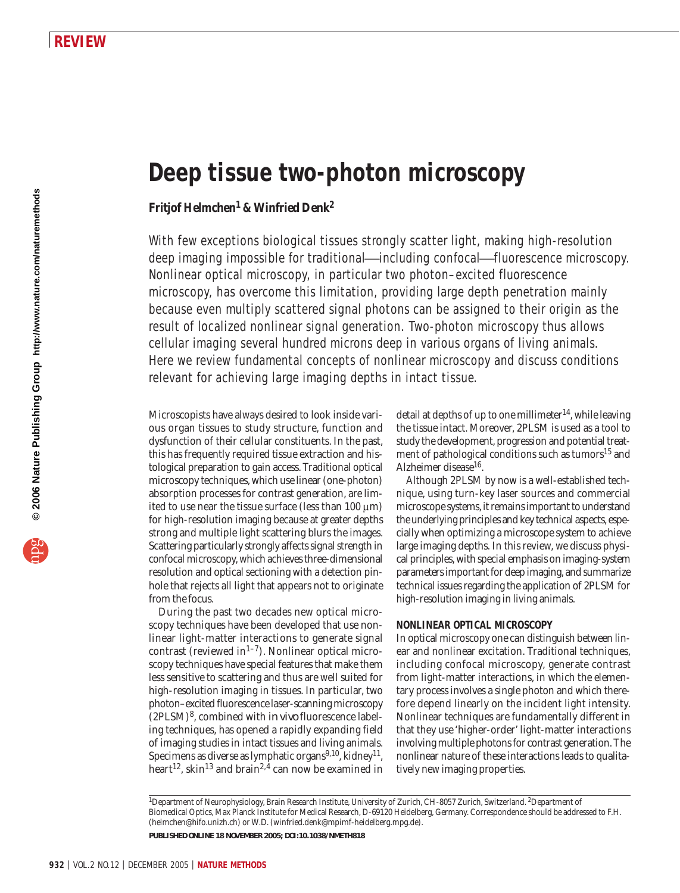# **Deep tissue two-photon microscopy**

## **Fritjof Helmchen1 & Winfried Denk2**

With few exceptions biological tissues strongly scatter light, making high-resolution deep imaging impossible for traditional—including confocal—fluorescence microscopy. Nonlinear optical microscopy, in particular two photon–excited fluorescence microscopy, has overcome this limitation, providing large depth penetration mainly because even multiply scattered signal photons can be assigned to their origin as the result of localized nonlinear signal generation. Two-photon microscopy thus allows cellular imaging several hundred microns deep in various organs of living animals. Here we review fundamental concepts of nonlinear microscopy and discuss conditions relevant for achieving large imaging depths in intact tissue.

Microscopists have always desired to look inside various organ tissues to study structure, function and dysfunction of their cellular constituents. In the past, this has frequently required tissue extraction and histological preparation to gain access. Traditional optical microscopy techniques, which use linear (one-photon) absorption processes for contrast generation, are limited to use near the tissue surface (less than  $100 \mu m$ ) for high-resolution imaging because at greater depths strong and multiple light scattering blurs the images. Scattering particularly strongly affects signal strength in confocal microscopy, which achieves three-dimensional resolution and optical sectioning with a detection pinhole that rejects all light that appears not to originate from the focus.

During the past two decades new optical microscopy techniques have been developed that use nonlinear light-matter interactions to generate signal contrast (reviewed in $1-7$ ). Nonlinear optical microscopy techniques have special features that make them less sensitive to scattering and thus are well suited for high-resolution imaging in tissues. In particular, two photon–excited fluorescence laser-scanning microscopy (2PLSM)8, combined with *in vivo* fluorescence labeling techniques, has opened a rapidly expanding field of imaging studies in intact tissues and living animals. Specimens as diverse as lymphatic organs<sup>9,10</sup>, kidney<sup>11</sup>, heart<sup>12</sup>, skin<sup>13</sup> and brain<sup>2,4</sup> can now be examined in detail at depths of up to one millimeter<sup>14</sup>, while leaving the tissue intact. Moreover, 2PLSM is used as a tool to study the development, progression and potential treatment of pathological conditions such as tumors<sup>15</sup> and Alzheimer disease<sup>16</sup>.

Although 2PLSM by now is a well-established technique, using turn-key laser sources and commercial microscope systems, it remains important to understand the underlying principles and key technical aspects, especially when optimizing a microscope system to achieve large imaging depths. In this review, we discuss physical principles, with special emphasis on imaging-system parameters important for deep imaging, and summarize technical issues regarding the application of 2PLSM for high-resolution imaging in living animals.

#### **NONLINEAR OPTICAL MICROSCOPY**

In optical microscopy one can distinguish between linear and nonlinear excitation. Traditional techniques, including confocal microscopy, generate contrast from light-matter interactions, in which the elementary process involves a single photon and which therefore depend linearly on the incident light intensity. Nonlinear techniques are fundamentally different in that they use 'higher-order' light-matter interactions involving multiple photons for contrast generation. The nonlinear nature of these interactions leads to qualitatively new imaging properties.

<sup>&</sup>lt;sup>1</sup>Department of Neurophysiology, Brain Research Institute, University of Zurich, CH-8057 Zurich, Switzerland. <sup>2</sup>Department of Biomedical Optics, Max Planck Institute for Medical Research, D-69120 Heidelberg, Germany. Correspondence should be addressed to F.H. (helmchen@hifo.unizh.ch) or W.D. (winfried.denk@mpimf-heidelberg.mpg.de). **PUBLISHED ONLINE 18 NOVEMBER 2005; DOI:10.1038/NMETH818**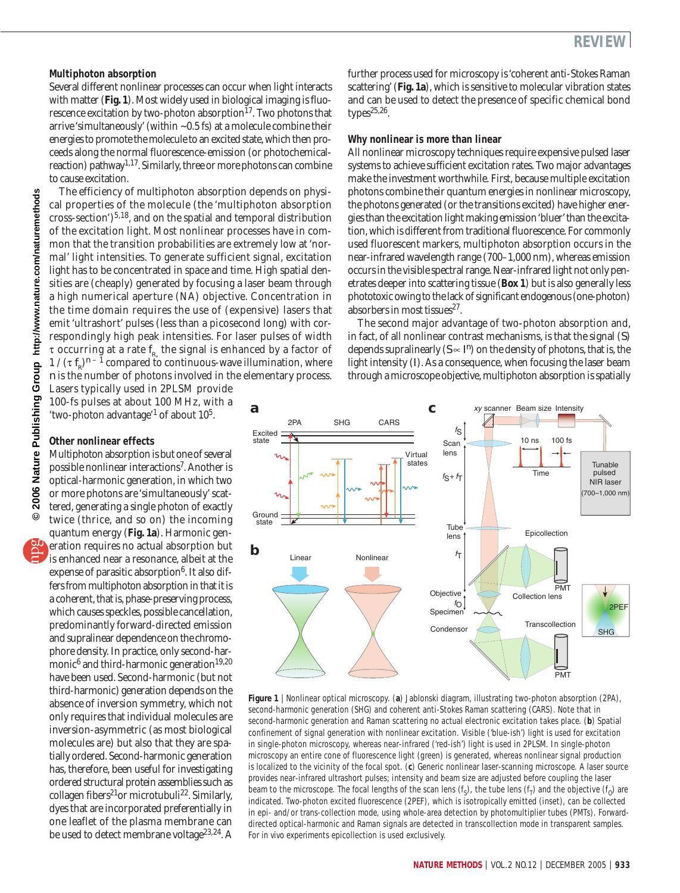#### **Multiphoton absorption**

Several different nonlinear processes can occur when light interacts with matter (**Fig. 1**). Most widely used in biological imaging is fluorescence excitation by two-photon absorption<sup>17</sup>. Two photons that arrive 'simultaneously' (within  $\sim 0.5$  fs) at a molecule combine their energies to promote the molecule to an excited state, which then proceeds along the normal fluorescence-emission (or photochemicalreaction) pathway<sup>1,17</sup>. Similarly, three or more photons can combine to cause excitation.

The efficiency of multiphoton absorption depends on physical properties of the molecule (the 'multiphoton absorption  $\frac{1}{2}$  cross-section')<sup>5,18</sup>, and on the spatial and temporal distribution of the excitation light. Most nonlinear processes have in common that the transition probabilities are extremely low at 'normal' light intensities. To generate sufficient signal, excitation light has to be concentrated in space and time. High spatial densities are (cheaply) generated by focusing a laser beam through a high numerical aperture (NA) objective. Concentration in the time domain requires the use of (expensive) lasers that emit 'ultrashort' pulses (less than a picosecond long) with correspondingly high peak intensities. For laser pulses of width τ occurring at a rate  $f_{\rm p}$  the signal is enhanced by a factor of *R, (π*  $f_R$ *)*  $n-1$  compared to continuous-wave illumination, where *n* is the number of photons involved in the elementary process. Lasers typically used in 2PLSM provide

100-fs pulses at about 100 MHz, with a 'two-photon advantage'<sup>1</sup> of about 10<sup>5</sup>.

further process used for microscopy is 'coherent anti-Stokes Raman scattering' (**Fig. 1a**), which is sensitive to molecular vibration states and can be used to detect the presence of specific chemical bond types $25,26$ .

#### **Why nonlinear is more than linear**

All nonlinear microscopy techniques require expensive pulsed laser systems to achieve sufficient excitation rates. Two major advantages make the investment worthwhile. First, because multiple excitation photons combine their quantum energies in nonlinear microscopy, the photons generated (or the transitions excited) have higher energies than the excitation light making emission 'bluer' than the excitation, which is different from traditional fluorescence. For commonly used fluorescent markers, multiphoton absorption occurs in the near-infrared wavelength range (700–1,000 nm), whereas emission occurs in the visible spectral range. Near-infrared light not only penetrates deeper into scattering tissue (**Box 1**) but is also generally less phototoxic owing to the lack of significant endogenous (one-photon) absorbers in most tissues<sup>27</sup>.

The second major advantage of two-photon absorption and, in fact, of all nonlinear contrast mechanisms, is that the signal (*S*) depends supralinearly ( $S \propto I^m$ ) on the density of photons, that is, the light intensity (*I*). As a consequence, when focusing the laser beam through a microscope objective, multiphoton absorption is spatially



**Figure 1** | Nonlinear optical microscopy. (**a**) Jablonski diagram, illustrating two-photon absorption (2PA), second-harmonic generation (SHG) and coherent anti-Stokes Raman scattering (CARS). Note that in second-harmonic generation and Raman scattering no actual electronic excitation takes place. (**b**) Spatial confinement of signal generation with nonlinear excitation. Visible ('blue-ish') light is used for excitation in single-photon microscopy, whereas near-infrared ('red-ish') light is used in 2PLSM. In single-photon microscopy an entire cone of fluorescence light (green) is generated, whereas nonlinear signal production is localized to the vicinity of the focal spot. (**c**) Generic nonlinear laser-scanning microscope. A laser source provides near-infrared ultrashort pulses; intensity and beam size are adjusted before coupling the laser beam to the microscope. The focal lengths of the scan lens  $(f_S)$ , the tube lens  $(f_T)$  and the objective  $(f_O)$  are indicated. Two-photon excited fluorescence (2PEF), which is isotropically emitted (inset), can be collected in epi- and/or trans-collection mode, using whole-area detection by photomultiplier tubes (PMTs). Forwarddirected optical-harmonic and Raman signals are detected in transcollection mode in transparent samples. For *in vivo* experiments epicollection is used exclusively.

#### **Other nonlinear effects**

Multiphoton absorption is but one of several possible nonlinear interactions7. Another is optical-harmonic generation, in which two or more photons are 'simultaneously' scattered, generating a single photon of exactly twice (thrice, and so on) the incoming quantum energy (**Fig. 1a**). Harmonic generation requires no actual absorption but is enhanced near a resonance, albeit at the expense of parasitic absorption $6$ . It also differs from multiphoton absorption in that it is a coherent, that is, phase-preserving process, which causes speckles, possible cancellation, predominantly forward-directed emission and supralinear dependence on the chromophore density. In practice, only second-harmonic $6$  and third-harmonic generation<sup>19,20</sup> have been used. Second-harmonic (but not third-harmonic) generation depends on the absence of inversion symmetry, which not only requires that individual molecules are inversion-asymmetric (as most biological molecules are) but also that they are spatially ordered. Second-harmonic generation has, therefore, been useful for investigating ordered structural protein assemblies such as collagen fibers<sup>21</sup>or microtubuli<sup>22</sup>. Similarly, dyes that are incorporated preferentially in one leaflet of the plasma membrane can be used to detect membrane voltage<sup>23,24</sup>. A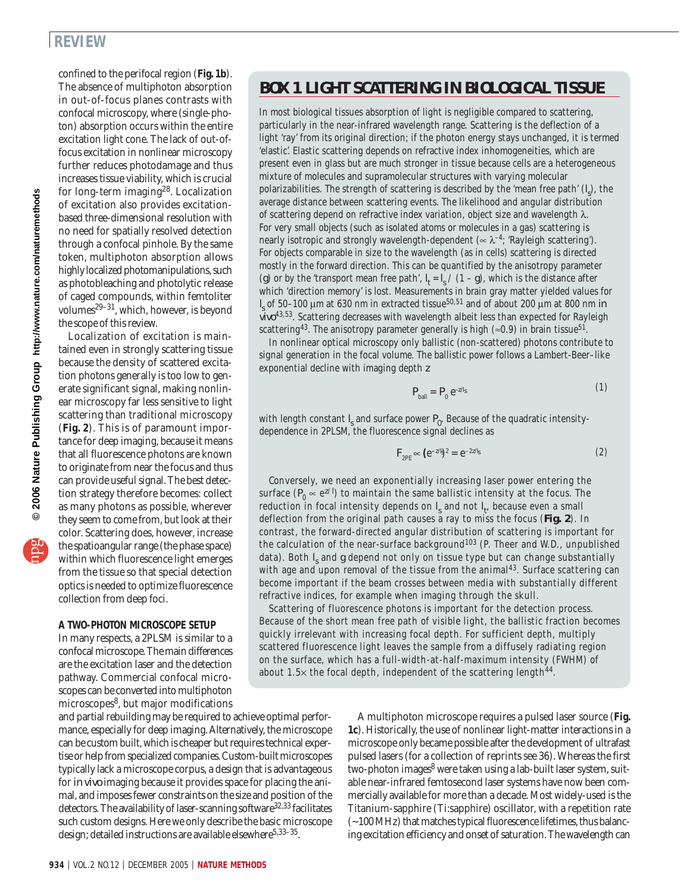confined to the perifocal region (**Fig. 1b**). The absence of multiphoton absorption in out-of-focus planes contrasts with confocal microscopy, where (single-photon) absorption occurs within the entire excitation light cone. The lack of out-offocus excitation in nonlinear microscopy further reduces photodamage and thus increases tissue viability, which is crucial for long-term imaging28. Localization of excitation also provides excitationbased three-dimensional resolution with no need for spatially resolved detection through a confocal pinhole. By the same token, multiphoton absorption allows highly localized photomanipulations, such as photobleaching and photolytic release of caged compounds, within femtoliter volumes $29-31$ , which, however, is beyond the scope of this review.

Localization of excitation is maintained even in strongly scattering tissue because the density of scattered excitation photons generally is too low to generate significant signal, making nonlinear microscopy far less sensitive to light scattering than traditional microscopy (**Fig. 2**). This is of paramount importance for deep imaging, because it means that all fluorescence photons are known to originate from near the focus and thus can provide useful signal. The best detection strategy therefore becomes: collect as many photons as possible, wherever they seem to come from, but look at their color. Scattering does, however, increase the spatioangular range (the phase space) within which fluorescence light emerges from the tissue so that special detection optics is needed to optimize fluorescence collection from deep foci.

#### **A TWO-PHOTON MICROSCOPE SETUP**

In many respects, a 2PLSM is similar to a confocal microscope. The main differences are the excitation laser and the detection pathway. Commercial confocal microscopes can be converted into multiphoton microscopes<sup>8</sup>, but major modifications

and partial rebuilding may be required to achieve optimal performance, especially for deep imaging. Alternatively, the microscope can be custom built, which is cheaper but requires technical expertise or help from specialized companies. Custom-built microscopes typically lack a microscope corpus, a design that is advantageous for *in vivo* imaging because it provides space for placing the animal, and imposes fewer constraints on the size and position of the detectors. The availability of laser-scanning software<sup>32,33</sup> facilitates such custom designs. Here we only describe the basic microscope design; detailed instructions are available elsewhere<sup>5,33-35</sup>.

### **BOX 1 LIGHT SCATTERING IN BIOLOGICAL TISSUE**

In most biological tissues absorption of light is negligible compared to scattering, particularly in the near-infrared wavelength range. Scattering is the deflection of a light 'ray' from its original direction; if the photon energy stays unchanged, it is termed 'elastic'. Elastic scattering depends on refractive index inhomogeneities, which are present even in glass but are much stronger in tissue because cells are a heterogeneous mixture of molecules and supramolecular structures with varying molecular polarizabilities. The strength of scattering is described by the 'mean free path' (*l s* ), the average distance between scattering events. The likelihood and angular distribution of scattering depend on refractive index variation, object size and wavelength λ. For very small objects (such as isolated atoms or molecules in a gas) scattering is nearly isotropic and strongly wavelength-dependent ( $\propto \lambda^{-4}$ ; 'Rayleigh scattering'). For objects comparable in size to the wavelength (as in cells) scattering is directed mostly in the forward direction. This can be quantified by the anisotropy parameter (*g*) or by the 'transport mean free path',  $l_t = l_s / (1 - g)$ , which is the distance after which 'direction memory' is lost. Measurements in brain gray matter yielded values for  $l<sub>s</sub>$  of 50–100 µm at 630 nm in extracted tissue<sup>50,51</sup> and of about 200 µm at 800 nm *in vivo*43,53. Scattering decreases with wavelength albeit less than expected for Rayleigh scattering<sup>43</sup>. The anisotropy parameter generally is high ( $\approx 0.9$ ) in brain tissue<sup>51</sup>.

In nonlinear optical microscopy only ballistic (non-scattered) photons contribute to signal generation in the focal volume. The ballistic power follows a Lambert-Beer–like exponential decline with imaging depth *z* 

$$
P_{\text{ball}} = P_0 \,\mathrm{e}^{-z/l_s} \tag{1}
$$

with length constant  $l_s$  and surface power  $P_0$ . Because of the quadratic intensitydependence in 2PLSM, the fluorescence signal declines as

$$
F_{2PE} \sim (e^{-z/\xi})^2 = e^{-2z/\xi} \tag{2}
$$

Conversely, we need an exponentially increasing laser power entering the surface  $(P_0 \propto e^{z/\hbar})$  to maintain the same ballistic intensity at the focus. The reduction in focal intensity depends on  $l_s$  and not  $l_t$ , because even a small deflection from the original path causes a ray to miss the focus (**Fig. 2**). In contrast, the forward-directed angular distribution of scattering is important for the calculation of the near-surface background<sup>103</sup> (P. Theer and W.D., unpublished data). Both  $I_s$  and  $g$  depend not only on tissue type but can change substantially with age and upon removal of the tissue from the animal<sup>43</sup>. Surface scattering can become important if the beam crosses between media with substantially different refractive indices, for example when imaging through the skull.

Scattering of fluorescence photons is important for the detection process. Because of the short mean free path of visible light, the ballistic fraction becomes quickly irrelevant with increasing focal depth. For sufficient depth, multiply scattered fluorescence light leaves the sample from a diffusely radiating region on the surface, which has a full-width-at-half-maximum intensity (FWHM) of about 1.5 $\times$  the focal depth, independent of the scattering length<sup>44</sup>.

> A multiphoton microscope requires a pulsed laser source (**Fig. 1c**). Historically, the use of nonlinear light-matter interactions in a microscope only became possible after the development of ultrafast pulsed lasers (for a collection of reprints see 36). Whereas the first two-photon images<sup>8</sup> were taken using a lab-built laser system, suitable near-infrared femtosecond laser systems have now been commercially available for more than a decade. Most widely-used is the Titanium-sapphire (Ti:sapphire) oscillator, with a repetition rate (~100 MHz) that matches typical fluorescence lifetimes, thus balancing excitation efficiency and onset of saturation. The wavelength can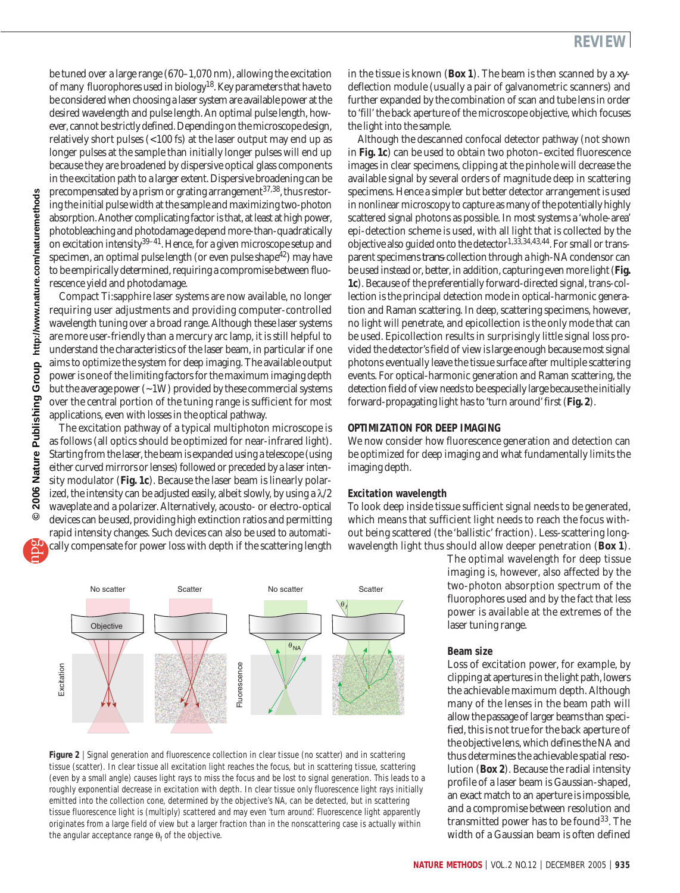be tuned over a large range (670–1,070 nm), allowing the excitation of many fluorophores used in biology18. Key parameters that have to be considered when choosing a laser system are available power at the desired wavelength and pulse length. An optimal pulse length, however, cannot be strictly defined. Depending on the microscope design, relatively short pulses (<100 fs) at the laser output may end up as longer pulses at the sample than initially longer pulses will end up because they are broadened by dispersive optical glass components in the excitation path to a larger extent. Dispersive broadening can be precompensated by a prism or grating arrangement<sup>37,38</sup>, thus restoring the initial pulse width at the sample and maximizing two-photon absorption. Another complicating factor is that, at least at high power, photobleaching and photodamage depend more-than-quadratically on excitation intensity39–41. Hence, for a given microscope setup and specimen, an optimal pulse length (or even pulse shape $\frac{1}{2}$ ) may have to be empirically determined, requiring a compromise between fluorescence yield and photodamage.

Compact Ti:sapphire laser systems are now available, no longer requiring user adjustments and providing computer-controlled wavelength tuning over a broad range. Although these laser systems are more user-friendly than a mercury arc lamp, it is still helpful to understand the characteristics of the laser beam, in particular if one aims to optimize the system for deep imaging. The available output power is one of the limiting factors for the maximum imaging depth but the average power  $(-1W)$  provided by these commercial systems over the central portion of the tuning range is sufficient for most applications, even with losses in the optical pathway.

The excitation pathway of a typical multiphoton microscope is as follows (all optics should be optimized for near-infrared light). Starting from the laser, the beam is expanded using a telescope (using either curved mirrors or lenses) followed or preceded by a laser intensity modulator (**Fig. 1c**). Because the laser beam is linearly polarized, the intensity can be adjusted easily, albeit slowly, by using a  $\lambda/2$ waveplate and a polarizer. Alternatively, acousto- or electro-optical devices can be used, providing high extinction ratios and permitting rapid intensity changes. Such devices can also be used to automatically compensate for power loss with depth if the scattering length

No scatter **Scatter** Scatter **No scatter** Scatter θ *f* **Objective**  $\theta_{\rm NA}$ Fluorescence **Fluorescence** Excitation Excitation

Figure 2 | Signal generation and fluorescence collection in clear tissue (no scatter) and in scattering tissue (scatter). In clear tissue all excitation light reaches the focus, but in scattering tissue, scattering (even by a small angle) causes light rays to miss the focus and be lost to signal generation. This leads to a roughly exponential decrease in excitation with depth. In clear tissue only fluorescence light rays initially emitted into the collection cone, determined by the objective's NA, can be detected, but in scattering tissue fluorescence light is (multiply) scattered and may even 'turn around'. Fluorescence light apparently originates from a large field of view but a larger fraction than in the nonscattering case is actually within the angular acceptance range  $\theta_f$  of the objective.

in the tissue is known (**Box 1**). The beam is then scanned by a *xy*deflection module (usually a pair of galvanometric scanners) and further expanded by the combination of scan and tube lens in order to 'fill' the back aperture of the microscope objective, which focuses the light into the sample.

Although the descanned confocal detector pathway (not shown in **Fig. 1c**) can be used to obtain two photon–excited fluorescence images in clear specimens, clipping at the pinhole will decrease the available signal by several orders of magnitude deep in scattering specimens. Hence a simpler but better detector arrangement is used in nonlinear microscopy to capture as many of the potentially highly scattered signal photons as possible. In most systems a 'whole-area' epi-detection scheme is used, with all light that is collected by the objective also guided onto the detector<sup>1,33,34,43,44</sup>. For small or transparent specimens *trans*-collection through a high-NA condensor can be used instead or, better, in addition, capturing even more light (**Fig. 1c**). Because of the preferentially forward-directed signal, trans-collection is the principal detection mode in optical-harmonic generation and Raman scattering. In deep, scattering specimens, however, no light will penetrate, and epicollection is the only mode that can be used. Epicollection results in surprisingly little signal loss provided the detector's field of view is large enough because most signal photons eventually leave the tissue surface after multiple scattering events. For optical-harmonic generation and Raman scattering, the detection field of view needs to be especially large because the initially forward-propagating light has to 'turn around' first (**Fig. 2**).

#### **OPTIMIZATION FOR DEEP IMAGING**

We now consider how fluorescence generation and detection can be optimized for deep imaging and what fundamentally limits the imaging depth.

#### **Excitation wavelength**

To look deep inside tissue sufficient signal needs to be generated, which means that sufficient light needs to reach the focus without being scattered (the 'ballistic' fraction). Less-scattering longwavelength light thus should allow deeper penetration (**Box 1**).

> The optimal wavelength for deep tissue imaging is, however, also affected by the two-photon absorption spectrum of the fluorophores used and by the fact that less power is available at the extremes of the laser tuning range.

#### **Beam size**

Loss of excitation power, for example, by clipping at apertures in the light path, lowers the achievable maximum depth. Although many of the lenses in the beam path will allow the passage of larger beams than specified, this is not true for the back aperture of the objective lens, which defines the NA and thus determines the achievable spatial resolution (**Box 2**). Because the radial intensity profile of a laser beam is Gaussian-shaped, an exact match to an aperture is impossible, and a compromise between resolution and transmitted power has to be found  $33$ . The width of a Gaussian beam is often defined

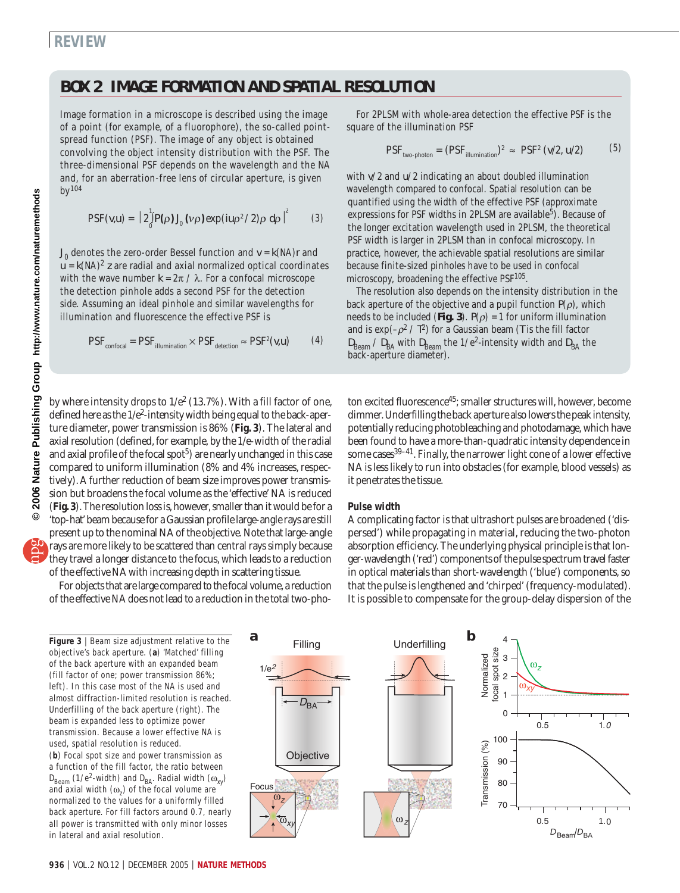### **BOX 2 IMAGE FORMATION AND SPATIAL RESOLUTION**

Image formation in a microscope is described using the image of a point (for example, of a fluorophore), the so-called pointspread function (PSF). The image of any object is obtained convolving the object intensity distribution with the PSF. The three-dimensional PSF depends on the wavelength and the NA and, for an aberration-free lens of circular aperture, is given  $by<sup>104</sup>$ 

$$
PSF(v, u) = |2_0^1 P(\rho) J_0(v\rho) \exp(iu\rho^2/2)\rho \, d\rho|^2 \qquad (3)
$$

 $J_0$  denotes the zero-order Bessel function and  $v = k(\text{NA})r$  and  $u = k(NA)^2$  *z* are radial and axial normalized optical coordinates with the wave number  $k = 2\pi / \lambda$ . For a confocal microscope the detection pinhole adds a second PSF for the detection side. Assuming an ideal pinhole and similar wavelengths for illumination and fluorescence the effective PSF is

$$
PSF_{\text{confocal}} = PSF_{\text{illumination}} \times PSF_{\text{detection}} \approx PSF^2(v, u) \tag{4}
$$

by where intensity drops to  $1/e^2$  (13.7%). With a fill factor of one, defined here as the  $1/e^2$ -intensity width being equal to the back-aperture diameter, power transmission is 86% (**Fig. 3**). The lateral and axial resolution (defined, for example, by the 1/e-width of the radial and axial profile of the focal spot<sup>5</sup>) are nearly unchanged in this case compared to uniform illumination (8% and 4% increases, respectively). A further reduction of beam size improves power transmission but broadens the focal volume as the 'effective' NA is reduced (**Fig. 3**). The resolution loss is, however, smaller than it would be for a 'top-hat' beam because for a Gaussian profile large-angle rays are still present up to the nominal NA of the objective. Note that large-angle rays are more likely to be scattered than central rays simply because they travel a longer distance to the focus, which leads to a reduction of the effective NA with increasing depth in scattering tissue.

For objects that are large compared to the focal volume, a reduction of the effective NA does not lead to a reduction in the total two-pho-

For 2PLSM with whole-area detection the effective PSF is the square of the illumination PSF

$$
PSF_{two\text{-photon}} = (PSF_{\text{illumination}})^2 \approx PSF^2 (v/2, u/2)
$$
 (5)

with *v*/2 and *u*/2 indicating an about doubled illumination wavelength compared to confocal. Spatial resolution can be quantified using the width of the effective PSF (approximate expressions for PSF widths in 2PLSM are available<sup>5</sup>). Because of the longer excitation wavelength used in 2PLSM, the theoretical PSF width is larger in 2PLSM than in confocal microscopy. In practice, however, the achievable spatial resolutions are similar because finite-sized pinholes have to be used in confocal microscopy, broadening the effective PSF105.

The resolution also depends on the intensity distribution in the back aperture of the objective and a pupil function  $P(\rho)$ , which needs to be included (**Fig. 3**).  $P(\rho) = 1$  for uniform illumination and is  $\exp(-\rho^2 / T^2)$  for a Gaussian beam (*T* is the fill factor  $D_{\text{Beam}}$  /  $D_{\text{BA}}$  with  $D_{\text{Beam}}$  the 1/e<sup>2</sup>-intensity width and  $D_{\text{RA}}$  the back-aperture diameter).

ton excited fluorescence<sup>45</sup>; smaller structures will, however, become dimmer. Underfilling the back aperture also lowers the peak intensity, potentially reducing photobleaching and photodamage, which have been found to have a more-than-quadratic intensity dependence in some cases<sup>39-41</sup>. Finally, the narrower light cone of a lower effective NA is less likely to run into obstacles (for example, blood vessels) as it penetrates the tissue.

#### **Pulse width**

A complicating factor is that ultrashort pulses are broadened ('dispersed') while propagating in material, reducing the two-photon absorption efficiency. The underlying physical principle is that longer-wavelength ('red') components of the pulse spectrum travel faster in optical materials than short-wavelength ('blue') components, so that the pulse is lengthened and 'chirped' (frequency-modulated). It is possible to compensate for the group-delay dispersion of the

**Figure 3** | Beam size adjustment relative to the objective's back aperture. (**a**) 'Matched' filling of the back aperture with an expanded beam (fill factor of one; power transmission 86%; left). In this case most of the NA is used and almost diffraction-limited resolution is reached. Underfilling of the back aperture (right). The beam is expanded less to optimize power transmission. Because a lower effective NA is used, spatial resolution is reduced. (**b**) Focal spot size and power transmission as a function of the fill factor, the ratio between  $D_{\text{Beam}}$  (1/e<sup>2</sup>-width) and  $D_{\text{BA}}$ . Radial width ( $\omega_{\text{xy}}$ ) and axial width (ω*<sup>z</sup>* ) of the focal volume are normalized to the values for a uniformly filled back aperture. For fill factors around 0.7, nearly all power is transmitted with only minor losses in lateral and axial resolution.

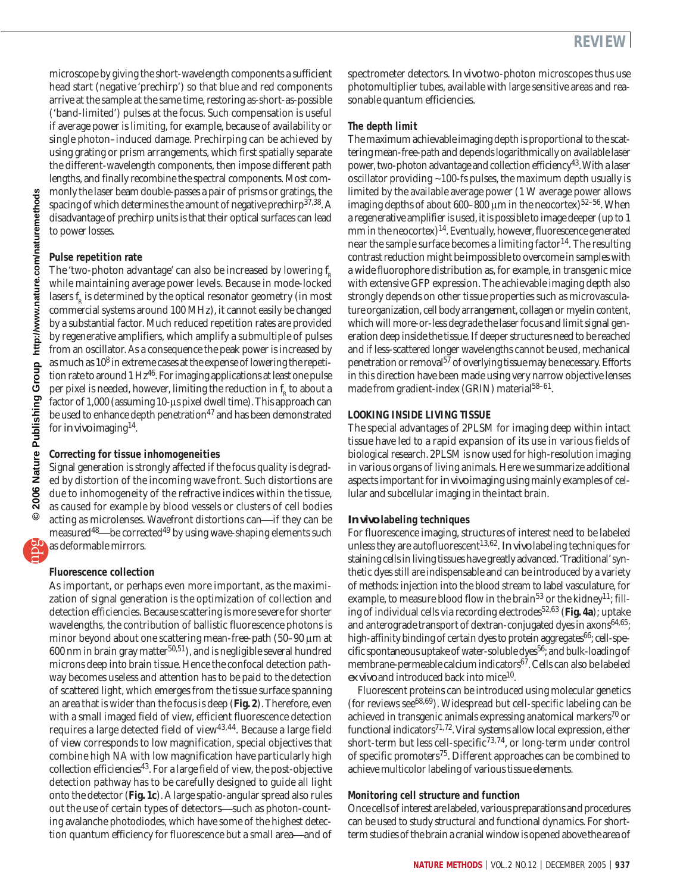microscope by giving the short-wavelength components a sufficient head start (negative 'prechirp') so that blue and red components arrive at the sample at the same time, restoring as-short-as-possible ('band-limited') pulses at the focus. Such compensation is useful if average power is limiting, for example, because of availability or single photon–induced damage. Prechirping can be achieved by using grating or prism arrangements, which first spatially separate the different-wavelength components, then impose different path lengths, and finally recombine the spectral components. Most commonly the laser beam double-passes a pair of prisms or gratings, the spacing of which determines the amount of negative prechirp  $37,38$ . A disadvantage of prechirp units is that their optical surfaces can lead to power losses.

#### **Pulse repetition rate**

The 'two-photon advantage' can also be increased by lowering *f* R while maintaining average power levels. Because in mode-locked lasers  $f_{\rm R}$  is determined by the optical resonator geometry (in most commercial systems around 100 MHz), it cannot easily be changed by a substantial factor. Much reduced repetition rates are provided by regenerative amplifiers, which amplify a submultiple of pulses from an oscillator. As a consequence the peak power is increased by as much as 108 in extreme cases at the expense of lowering the repetition rate to around 1  $Hz^{46}$ . For imaging applications at least one pulse per pixel is needed, however, limiting the reduction in  $f_{\rm R}$  to about a factor of 1,000 (assuming 10-µs pixel dwell time). This approach can be used to enhance depth penetration $4^7$  and has been demonstrated for *in vivo* imaging14.

#### **Correcting for tissue inhomogeneities**

Signal generation is strongly affected if the focus quality is degraded by distortion of the incoming wave front. Such distortions are due to inhomogeneity of the refractive indices within the tissue, as caused for example by blood vessels or clusters of cell bodies acting as microlenses. Wavefront distortions can—if they can be measured<sup>48</sup>—be corrected<sup>49</sup> by using wave-shaping elements such as deformable mirrors.

#### **Fluorescence collection**

As important, or perhaps even more important, as the maximization of signal generation is the optimization of collection and detection efficiencies. Because scattering is more severe for shorter wavelengths, the contribution of ballistic fluorescence photons is minor beyond about one scattering mean-free-path (50–90 µm at 600 nm in brain gray matter<sup>50,51</sup>), and is negligible several hundred microns deep into brain tissue. Hence the confocal detection pathway becomes useless and attention has to be paid to the detection of scattered light, which emerges from the tissue surface spanning an area that is wider than the focus is deep (**Fig. 2**). Therefore, even with a small imaged field of view, efficient fluorescence detection requires a large detected field of view43,44. Because a large field of view corresponds to low magnification, special objectives that combine high NA with low magnification have particularly high collection efficiencies<sup>43</sup>. For a large field of view, the post-objective detection pathway has to be carefully designed to guide all light onto the detector (**Fig. 1c**). A large spatio-angular spread also rules out the use of certain types of detectors—such as photon-counting avalanche photodiodes, which have some of the highest detection quantum efficiency for fluorescence but a small area—and of spectrometer detectors. *In vivo* two-photon microscopes thus use photomultiplier tubes, available with large sensitive areas and reasonable quantum efficiencies.

#### **The depth limit**

The maximum achievable imaging depth is proportional to the scattering mean-free-path and depends logarithmically on available laser power, two-photon advantage and collection efficiency<sup>43</sup>. With a laser oscillator providing ~100-fs pulses, the maximum depth usually is limited by the available average power (1 W average power allows imaging depths of about 600–800  $\mu$ m in the neocortex)<sup>52–56</sup>. When a regenerative amplifier is used, it is possible to image deeper (up to 1 mm in the neocortex)<sup>14</sup>. Eventually, however, fluorescence generated near the sample surface becomes a limiting factor  $14$ . The resulting contrast reduction might be impossible to overcome in samples with a wide fluorophore distribution as, for example, in transgenic mice with extensive GFP expression. The achievable imaging depth also strongly depends on other tissue properties such as microvasculature organization, cell body arrangement, collagen or myelin content, which will more-or-less degrade the laser focus and limit signal generation deep inside the tissue. If deeper structures need to be reached and if less-scattered longer wavelengths cannot be used, mechanical penetration or removal<sup>57</sup> of overlying tissue may be necessary. Efforts in this direction have been made using very narrow objective lenses made from gradient-index (GRIN) material<sup>58-61</sup>.

#### **LOOKING INSIDE LIVING TISSUE**

The special advantages of 2PLSM for imaging deep within intact tissue have led to a rapid expansion of its use in various fields of biological research. 2PLSM is now used for high-resolution imaging in various organs of living animals. Here we summarize additional aspects important for *in vivo* imaging using mainly examples of cellular and subcellular imaging in the intact brain.

#### *In vivo* **labeling techniques**

For fluorescence imaging, structures of interest need to be labeled unless they are autofluorescent<sup>13,62</sup>. In vivo labeling techniques for staining cells in living tissues have greatly advanced. 'Traditional' synthetic dyes still are indispensable and can be introduced by a variety of methods: injection into the blood stream to label vasculature, for example, to measure blood flow in the brain<sup>53</sup> or the kidney<sup>11</sup>; filling of individual cells via recording electrodes52,63 (**Fig. 4a**); uptake and anterograde transport of dextran-conjugated dyes in  $axons^{64,65}$ ; high-affinity binding of certain dyes to protein aggregates $66$ ; cell-specific spontaneous uptake of water-soluble dyes<sup>56</sup>; and bulk-loading of membrane-permeable calcium indicators<sup>67</sup>. Cells can also be labeled *ex vivo* and introduced back into mice<sup>10</sup>.

Fluorescent proteins can be introduced using molecular genetics (for reviews see $^{68,69}$ ). Widespread but cell-specific labeling can be achieved in transgenic animals expressing anatomical markers $^{70}$  or functional indicators<sup>71,72</sup>. Viral systems allow local expression, either short-term but less cell-specific<sup>73,74</sup>, or long-term under control of specific promoters75. Different approaches can be combined to achieve multicolor labeling of various tissue elements.

#### **Monitoring cell structure and function**

Once cells of interest are labeled, various preparations and procedures can be used to study structural and functional dynamics. For shortterm studies of the brain a cranial window is opened above the area of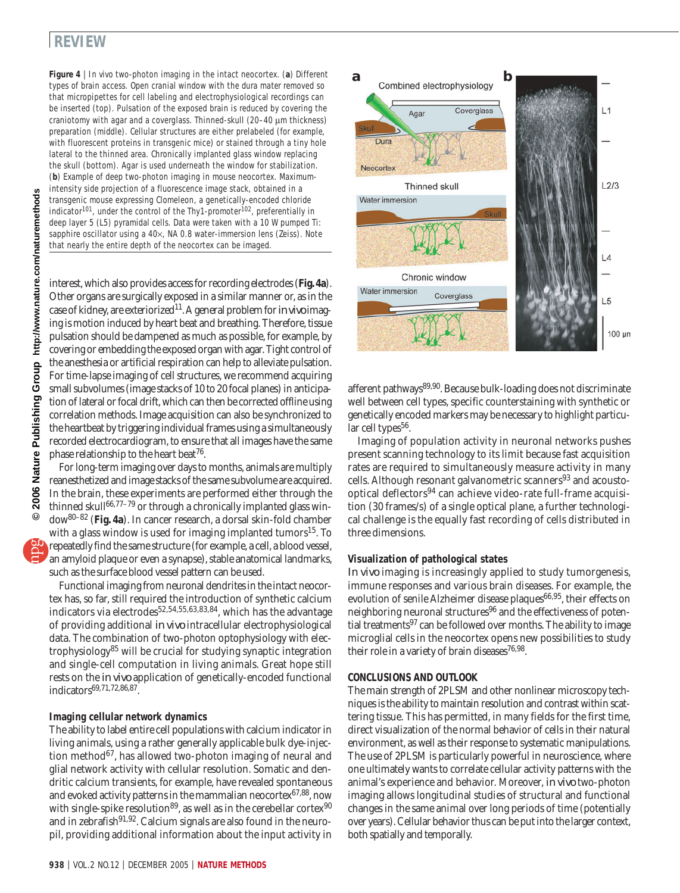**Figure 4** | *In vivo* two-photon imaging in the intact neocortex. (**a**) Different **a b** types of brain access. Open cranial window with the *dura mater* removed so that micropipettes for cell labeling and electrophysiological recordings can be inserted (top). Pulsation of the exposed brain is reduced by covering the craniotomy with agar and a coverglass. Thinned-skull (20–40 µm thickness) preparation (middle). Cellular structures are either prelabeled (for example, with fluorescent proteins in transgenic mice) or stained through a tiny hole lateral to the thinned area. Chronically implanted glass window replacing the skull (bottom). Agar is used underneath the window for stabilization. (**b**) Example of deep two-photon imaging in mouse neocortex. Maximumintensity side projection of a fluorescence image stack, obtained in a transgenic mouse expressing Clomeleon, a genetically-encoded chloride indicator<sup>101</sup>, under the control of the Thy1-promoter<sup>102</sup>, preferentially in deep layer 5 (L5) pyramidal cells. Data were taken with a 10 W pumped Ti: sapphire oscillator using a 40x, NA 0.8 water-immersion lens (Zeiss). Note that nearly the entire depth of the neocortex can be imaged.

interest, which also provides access for recording electrodes (**Fig. 4a**). Other organs are surgically exposed in a similar manner or, as in the case of kidney, are exteriorized11. A general problem for *in vivo* imaging is motion induced by heart beat and breathing. Therefore, tissue pulsation should be dampened as much as possible, for example, by covering or embedding the exposed organ with agar. Tight control of the anesthesia or artificial respiration can help to alleviate pulsation. For time-lapse imaging of cell structures, we recommend acquiring small subvolumes (image stacks of 10 to 20 focal planes) in anticipation of lateral or focal drift, which can then be corrected offline using correlation methods. Image acquisition can also be synchronized to the heartbeat by triggering individual frames using a simultaneously recorded electrocardiogram, to ensure that all images have the same phase relationship to the heart beat<sup>76</sup>.

For long-term imaging over days to months, animals are multiply reanesthetized and image stacks of the same subvolume are acquired. In the brain, these experiments are performed either through the thinned skull<sup>66,77-79</sup> or through a chronically implanted glass window80–82 (**Fig. 4a**). In cancer research, a dorsal skin-fold chamber with a glass window is used for imaging implanted tumors<sup>15</sup>. To repeatedly find the same structure (for example, a cell, a blood vessel, an amyloid plaque or even a synapse), stable anatomical landmarks, such as the surface blood vessel pattern can be used.

Functional imaging from neuronal dendrites in the intact neocortex has, so far, still required the introduction of synthetic calcium indicators via electrodes<sup>52,54,55,63,83,84</sup>, which has the advantage of providing additional *in vivo* intracellular electrophysiological data. The combination of two-photon optophysiology with electrophysiology85 will be crucial for studying synaptic integration and single-cell computation in living animals. Great hope still rests on the *in vivo* application of genetically-encoded functional indicators69,71,72,86,87.

#### **Imaging cellular network dynamics**

The ability to label entire cell populations with calcium indicator in living animals, using a rather generally applicable bulk dye-injection method67, has allowed two-photon imaging of neural and glial network activity with cellular resolution. Somatic and dendritic calcium transients, for example, have revealed spontaneous and evoked activity patterns in the mammalian neocortex $67,88$ , now with single-spike resolution<sup>89</sup>, as well as in the cerebellar cortex<sup>90</sup> and in zebrafish $91,92$ . Calcium signals are also found in the neuropil, providing additional information about the input activity in



afferent pathways<sup>89,90</sup>. Because bulk-loading does not discriminate well between cell types, specific counterstaining with synthetic or genetically encoded markers may be necessary to highlight particular cell types $56$ .

Imaging of population activity in neuronal networks pushes present scanning technology to its limit because fast acquisition rates are required to simultaneously measure activity in many cells. Although resonant galvanometric scanners<sup>93</sup> and acoustooptical deflectors94 can achieve video-rate full-frame acquisition (30 frames/s) of a single optical plane, a further technological challenge is the equally fast recording of cells distributed in three dimensions.

#### **Visualization of pathological states**

*In vivo* imaging is increasingly applied to study tumorgenesis, immune responses and various brain diseases. For example, the evolution of senile Alzheimer disease plaques<sup>66,95</sup>, their effects on neighboring neuronal structures<sup>96</sup> and the effectiveness of potential treatments $97$  can be followed over months. The ability to image microglial cells in the neocortex opens new possibilities to study their role in a variety of brain diseases<sup>76,98</sup>.

#### **CONCLUSIONS AND OUTLOOK**

The main strength of 2PLSM and other nonlinear microscopy techniques is the ability to maintain resolution and contrast within scattering tissue. This has permitted, in many fields for the first time, direct visualization of the normal behavior of cells in their natural environment, as well as their response to systematic manipulations. The use of 2PLSM is particularly powerful in neuroscience, where one ultimately wants to correlate cellular activity patterns with the animal's experience and behavior. Moreover, *in vivo* two-photon imaging allows longitudinal studies of structural and functional changes in the same animal over long periods of time (potentially over years). Cellular behavior thus can be put into the larger context, both spatially and temporally.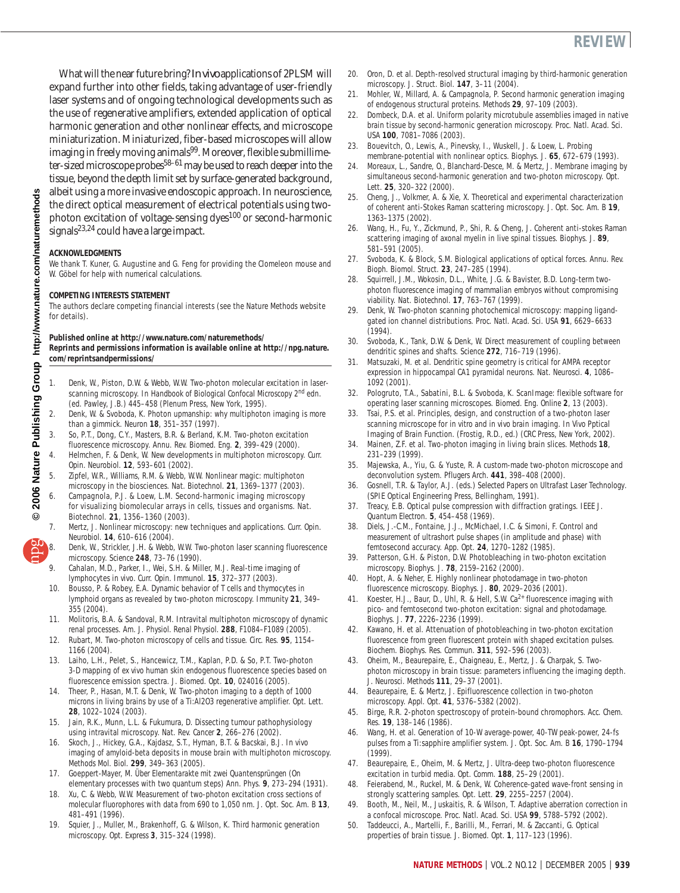What will the near future bring? *In vivo* applications of 2PLSM will expand further into other fields, taking advantage of user-friendly laser systems and of ongoing technological developments such as the use of regenerative amplifiers, extended application of optical harmonic generation and other nonlinear effects, and microscope miniaturization. Miniaturized, fiber-based microscopes will allow imaging in freely moving animals<sup>99</sup>. Moreover, flexible submillimeter-sized microscope probes<sup>58–61</sup> may be used to reach deeper into the tissue, beyond the depth limit set by surface-generated background, albeit using a more invasive endoscopic approach. In neuroscience, the direct optical measurement of electrical potentials using twophoton excitation of voltage-sensing dyes $100$  or second-harmonic signals<sup>23,24</sup> could have a large impact.

#### **ACKNOWLEDGMENTS**

We thank T. Kuner, G. Augustine and G. Feng for providing the Clomeleon mouse and W. Göbel for help with numerical calculations.

#### **COMPETING INTERESTS STATEMENT**

The authors declare competing financial interests (see the *Nature Methods* website for details).

#### **Published online at http://www.nature.com/naturemethods/**

**Reprints and permissions information is available online at http://npg.nature. com/reprintsandpermissions/**

- 1. Denk, W., Piston, D.W. & Webb, W.W. Two-photon molecular excitation in laserscanning microscopy. In *Handbook of Biological Confocal Microscopy* 2nd edn. (ed. Pawley, J.B.) 445–458 (Plenum Press, New York, 1995).
- 2. Denk, W. & Svoboda, K. Photon upmanship: why multiphoton imaging is more than a gimmick. *Neuron* **18**, 351–357 (1997).
- 3. So, P.T., Dong, C.Y., Masters, B.R. & Berland, K.M. Two-photon excitation fluorescence microscopy. *Annu. Rev. Biomed. Eng.* **2**, 399–429 (2000).
- 4. Helmchen, F. & Denk, W. New developments in multiphoton microscopy. *Curr. Opin. Neurobiol.* **12**, 593–601 (2002).
- 5. Zipfel, W.R., Williams, R.M. & Webb, W.W. Nonlinear magic: multiphoton microscopy in the biosciences. *Nat. Biotechnol.* **21**, 1369–1377 (2003).
- 6. Campagnola, P.J. & Loew, L.M. Second-harmonic imaging microscopy for visualizing biomolecular arrays in cells, tissues and organisms. *Nat. Biotechnol.* **21**, 1356–1360 (2003).
- 7. Mertz, J. Nonlinear microscopy: new techniques and applications. *Curr. Opin. Neurobiol.* **14**, 610–616 (2004).
- Denk, W., Strickler, J.H. & Webb, W.W. Two-photon laser scanning fluorescence microscopy. *Science* **248**, 73–76 (1990).
- 9. Cahalan, M.D., Parker, I., Wei, S.H. & Miller, M.J. Real-time imaging of lymphocytes *in vivo*. *Curr. Opin. Immunol.* **15**, 372–377 (2003).
- 10. Bousso, P. & Robey, E.A. Dynamic behavior of T cells and thymocytes in lymphoid organs as revealed by two-photon microscopy. *Immunity* **21**, 349– 355 (2004).
- 11. Molitoris, B.A. & Sandoval, R.M. Intravital multiphoton microscopy of dynamic renal processes. *Am. J. Physiol. Renal Physiol.* **288**, F1084–F1089 (2005).
- 12. Rubart, M. Two-photon microscopy of cells and tissue. *Circ. Res.* **95**, 1154– 1166 (2004)
- 13. Laiho, L.H., Pelet, S., Hancewicz, T.M., Kaplan, P.D. & So, P.T. Two-photon 3-D mapping of *ex vivo* human skin endogenous fluorescence species based on fluorescence emission spectra. *J. Biomed. Opt.* **10**, 024016 (2005).
- 14. Theer, P., Hasan, M.T. & Denk, W. Two-photon imaging to a depth of 1000 microns in living brains by use of a Ti:Al2O3 regenerative amplifier. *Opt. Lett.* **28**, 1022–1024 (2003).
- 15. Jain, R.K., Munn, L.L. & Fukumura, D. Dissecting tumour pathophysiology using intravital microscopy. *Nat. Rev. Cancer* **2**, 266–276 (2002).
- 16. Skoch, J., Hickey, G.A., Kajdasz, S.T., Hyman, B.T. & Bacskai, B.J. *In vivo* imaging of amyloid-beta deposits in mouse brain with multiphoton microscopy. *Methods Mol. Biol.* **299**, 349–363 (2005).
- 17. Goeppert-Mayer, M. *Über Elementarakte mit zwei Quantensprüngen* (On elementary processes with two quantum steps) *Ann. Phys.* **9**, 273–294 (1931).
- 18. Xu, C. & Webb, W.W. Measurement of two-photon excitation cross sections of molecular fluorophores with data from 690 to 1,050 nm. *J. Opt. Soc. Am. B* **13**, 481–491 (1996).
- 19. Squier, J., Muller, M., Brakenhoff, G. & Wilson, K. Third harmonic generation microscopy. *Opt. Express* **3**, 315–324 (1998).
- 20. Oron, D. *et al.* Depth-resolved structural imaging by third-harmonic generation microscopy. *J. Struct. Biol.* **147**, 3–11 (2004).
- 21. Mohler, W., Millard, A. & Campagnola, P. Second harmonic generation imaging of endogenous structural proteins. *Methods* **29**, 97–109 (2003).
- 22. Dombeck, D.A. *et al.* Uniform polarity microtubule assemblies imaged in native brain tissue by second-harmonic generation microscopy. *Proc. Natl. Acad. Sci. USA* **100**, 7081–7086 (2003).
- 23. Bouevitch, O., Lewis, A., Pinevsky, I., Wuskell, J. & Loew, L. Probing membrane-potential with nonlinear optics. *Biophys. J.* **65**, 672–679 (1993).
- 24. Moreaux, L., Sandre, O., Blanchard-Desce, M. & Mertz, J. Membrane imaging by simultaneous second-harmonic generation and two-photon microscopy. *Opt. Lett.* **25**, 320–322 (2000).
- 25. Cheng, J., Volkmer, A. & Xie, X. Theoretical and experimental characterization of coherent anti-Stokes Raman scattering microscopy. *J. Opt. Soc. Am. B* **19**, 1363–1375 (2002).
- 26. Wang, H., Fu, Y., Zickmund, P., Shi, R. & Cheng, J. Coherent anti-stokes Raman scattering imaging of axonal myelin in live spinal tissues. *Biophys. J.* **89**, 581–591 (2005).
- 27. Svoboda, K. & Block, S.M. Biological applications of optical forces. *Annu. Rev. Bioph. Biomol. Struct.* **23**, 247–285 (1994).
- 28. Squirrell, J.M., Wokosin, D.L., White, J.G. & Bavister, B.D. Long-term twophoton fluorescence imaging of mammalian embryos without compromising viability. *Nat. Biotechnol.* **17**, 763–767 (1999).
- 29. Denk, W. Two-photon scanning photochemical microscopy: mapping ligandgated ion channel distributions. *Proc. Natl. Acad. Sci. USA* **91**, 6629–6633  $(1994)$
- 30. Svoboda, K., Tank, D.W. & Denk, W. Direct measurement of coupling between dendritic spines and shafts. *Science* **272**, 716–719 (1996).
- 31. Matsuzaki, M. *et al.* Dendritic spine geometry is critical for AMPA receptor expression in hippocampal CA1 pyramidal neurons. *Nat. Neurosci.* **4**, 1086– 1092 (2001).
- 32. Pologruto, T.A., Sabatini, B.L. & Svoboda, K. ScanImage: flexible software for operating laser scanning microscopes. *Biomed. Eng. Online* **2**, 13 (2003).
- 33. Tsai, P.S. *et al.* Principles, design, and construction of a two-photon laser scanning microscope for *in vitro* and *in vivo* brain imaging. *In Vivo Pptical Imaging of Brain Function*. (Frostig, R.D., ed.) (CRC Press, New York, 2002).
- 34. Mainen, Z.F. *et al.* Two-photon imaging in living brain slices. *Methods* **18**, 231–239 (1999).
- 35. Majewska, A., Yiu, G. & Yuste, R. A custom-made two-photon microscope and deconvolution system. *Pflugers Arch.* **441**, 398–408 (2000).
- 36. Gosnell, T.R. & Taylor, A.J. (eds.) *Selected Papers on Ultrafast Laser Technology.* (SPIE Optical Engineering Press, Bellingham, 1991).
- 37. Treacy, E.B. Optical pulse compression with diffraction gratings. *IEEE J. Quantum Electron.* **5**, 454–458 (1969).
- 38. Diels, J.-C.M., Fontaine, J.J., McMichael, I.C. & Simoni, F. Control and measurement of ultrashort pulse shapes (in amplitude and phase) with femtosecond accuracy. *App. Opt.* **24**, 1270–1282 (1985).
- 39. Patterson, G.H. & Piston, D.W. Photobleaching in two-photon excitation microscopy. *Biophys. J.* **78**, 2159–2162 (2000).
- 40. Hopt, A. & Neher, E. Highly nonlinear photodamage in two-photon fluorescence microscopy. *Biophys. J.* **80**, 2029–2036 (2001).
- 41. Koester, H.J., Baur, D., Uhl, R. & Hell, S.W. Ca<sup>2+</sup> fluorescence imaging with pico- and femtosecond two-photon excitation: signal and photodamage. *Biophys. J.* **77**, 2226–2236 (1999).
- 42. Kawano, H. *et al.* Attenuation of photobleaching in two-photon excitation fluorescence from green fluorescent protein with shaped excitation pulses. *Biochem. Biophys. Res. Commun.* **311**, 592–596 (2003).
- 43. Oheim, M., Beaurepaire, E., Chaigneau, E., Mertz, J. & Charpak, S. Twophoton microscopy in brain tissue: parameters influencing the imaging depth. *J. Neurosci. Methods* **111**, 29–37 (2001).
- 44. Beaurepaire, E. & Mertz, J. Epifluorescence collection in two-photon microscopy. *Appl. Opt.* **41**, 5376–5382 (2002).
- 45. Birge, R.R. 2-photon spectroscopy of protein-bound chromophors. *Acc. Chem. Res.* **19**, 138–146 (1986).
- 46. Wang, H. *et al.* Generation of 10-W average-power, 40-TW peak-power, 24-fs pulses from a Ti:sapphire amplifier system. *J. Opt. Soc. Am. B* **16**, 1790–1794 (1999).
- 47. Beaurepaire, E., Oheim, M. & Mertz, J. Ultra-deep two-photon fluorescence excitation in turbid media. *Opt. Comm.* **188**, 25–29 (2001).
- 48. Feierabend, M., Ruckel, M. & Denk, W. Coherence-gated wave-front sensing in strongly scattering samples. *Opt. Lett.* **29**, 2255–2257 (2004).
- 49. Booth, M., Neil, M., Juskaitis, R. & Wilson, T. Adaptive aberration correction in a confocal microscope. *Proc. Natl. Acad. Sci. USA* **99**, 5788–5792 (2002).
- 50. Taddeucci, A., Martelli, F., Barilli, M., Ferrari, M. & Zaccanti, G. Optical properties of brain tissue. *J. Biomed. Opt.* **1**, 117–123 (1996).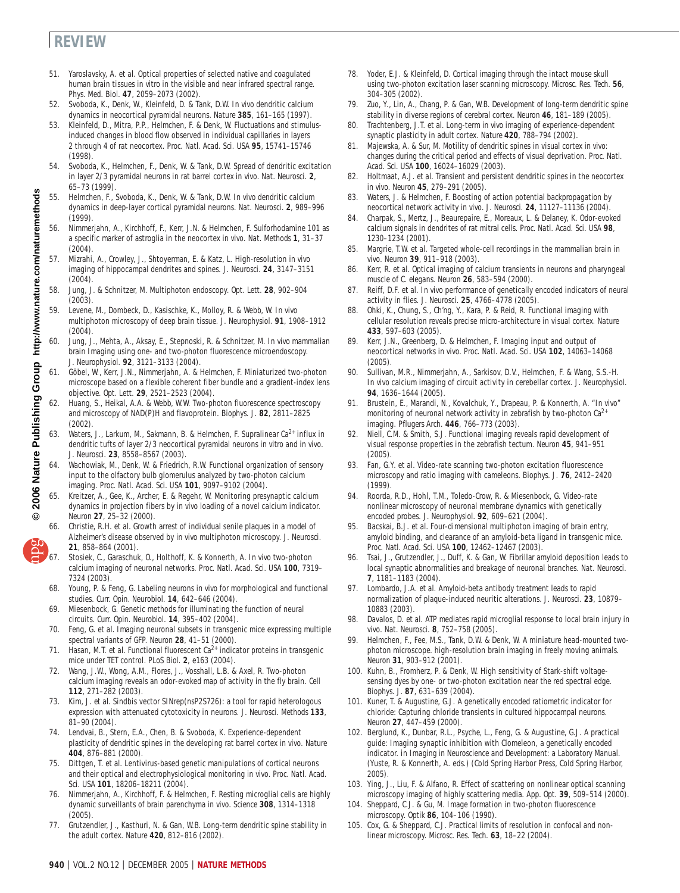- 51. Yaroslavsky, A. *et al.* Optical properties of selected native and coagulated human brain tissues *in vitro* in the visible and near infrared spectral range. *Phys. Med. Biol.* **47**, 2059–2073 (2002).
- 52. Svoboda, K., Denk, W., Kleinfeld, D. & Tank, D.W. *In vivo* dendritic calcium dynamics in neocortical pyramidal neurons. *Nature* **385**, 161–165 (1997).
- 53. Kleinfeld, D., Mitra, P.P., Helmchen, F. & Denk, W. Fluctuations and stimulusinduced changes in blood flow observed in individual capillaries in layers 2 through 4 of rat neocortex. *Proc. Natl. Acad. Sci. USA* **95**, 15741–15746 (1998).
- 54. Svoboda, K., Helmchen, F., Denk, W. & Tank, D.W. Spread of dendritic excitation in layer 2/3 pyramidal neurons in rat barrel cortex *in vivo*. *Nat. Neurosci.* **2**, 65–73 (1999).
- 55. Helmchen, F., Svoboda, K., Denk, W. & Tank, D.W. *In vivo* dendritic calcium dynamics in deep-layer cortical pyramidal neurons. *Nat. Neurosci.* **2**, 989–996 (1999).
- 56. Nimmerjahn, A., Kirchhoff, F., Kerr, J.N. & Helmchen, F. Sulforhodamine 101 as a specific marker of astroglia in the neocortex *in vivo*. *Nat. Methods* **1**, 31–37  $(2004)$
- 57. Mizrahi, A., Crowley, J., Shtoyerman, E. & Katz, L. High-resolution *in vivo* imaging of hippocampal dendrites and spines. *J. Neurosci.* **24**, 3147–3151  $(2004)$
- 58. Jung, J. & Schnitzer, M. Multiphoton endoscopy. *Opt. Lett.* **28**, 902–904 (2003).
- 59. Levene, M., Dombeck, D., Kasischke, K., Molloy, R. & Webb, W. *In vivo* multiphoton microscopy of deep brain tissue. *J. Neurophysiol.* **91**, 1908–1912  $(2004)$
- 60. Jung, J., Mehta, A., Aksay, E., Stepnoski, R. & Schnitzer, M. *In vivo* mammalian brain Imaging using one- and two-photon fluorescence microendoscopy. *J. Neurophysiol.* **92**, 3121–3133 (2004).
- 61. Göbel, W., Kerr, J.N., Nimmerjahn, A. & Helmchen, F. Miniaturized two-photon microscope based on a flexible coherent fiber bundle and a gradient-index lens objective. *Opt. Lett.* **29**, 2521–2523 (2004).
- 62. Huang, S., Heikal, A.A. & Webb, W.W. Two-photon fluorescence spectroscopy and microscopy of NAD(P)H and flavoprotein. *Biophys. J.* **82**, 2811–2825  $(2002)$
- 63. Waters, J., Larkum, M., Sakmann, B. & Helmchen, F. Supralinear Ca<sup>2+</sup> influx in dendritic tufts of layer 2/3 neocortical pyramidal neurons *in vitro* and *in vivo*. *J. Neurosci.* **23**, 8558–8567 (2003).
- 64. Wachowiak, M., Denk, W. & Friedrich, R.W. Functional organization of sensory input to the olfactory bulb glomerulus analyzed by two-photon calcium imaging. *Proc. Natl. Acad. Sci. USA* **101**, 9097–9102 (2004).
- 65. Kreitzer, A., Gee, K., Archer, E. & Regehr, W. Monitoring presynaptic calcium dynamics in projection fibers by *in vivo* loading of a novel calcium indicator. *Neuron* **27**, 25–32 (2000).
- 66. Christie, R.H. *et al.* Growth arrest of individual senile plaques in a model of Alzheimer's disease observed by *in vivo* multiphoton microscopy. *J. Neurosci.* **21**, 858–864 (2001).
- 67. Stosiek, C., Garaschuk, O., Holthoff, K. & Konnerth, A. *In vivo* two-photon calcium imaging of neuronal networks. *Proc. Natl. Acad. Sci. USA* **100**, 7319– 7324 (2003).
- 68. Young, P. & Feng, G. Labeling neurons *in vivo* for morphological and functional studies. *Curr. Opin. Neurobiol.* **14**, 642–646 (2004).
- 69. Miesenbock, G. Genetic methods for illuminating the function of neural circuits. *Curr. Opin. Neurobiol.* **14**, 395–402 (2004).
- 70. Feng, G. *et al.* Imaging neuronal subsets in transgenic mice expressing multiple spectral variants of GFP. *Neuron* **28**, 41–51 (2000).
- 71. Hasan, M.T. *et al.* Functional fluorescent Ca<sup>2+</sup> indicator proteins in transgenic mice under TET control. *PLoS Biol.* **2**, e163 (2004).
- 72. Wang, J.W., Wong, A.M., Flores, J., Vosshall, L.B. & Axel, R. Two-photon calcium imaging reveals an odor-evoked map of activity in the fly brain. *Cell* **112**, 271–282 (2003).
- 73. Kim, J. *et al.* Sindbis vector SINrep(nsP2S726): a tool for rapid heterologous expression with attenuated cytotoxicity in neurons. *J. Neurosci. Methods* **133**, 81–90 (2004).
- 74. Lendvai, B., Stern, E.A., Chen, B. & Svoboda, K. Experience-dependent plasticity of dendritic spines in the developing rat barrel cortex *in vivo*. *Nature* **404**, 876–881 (2000).
- 75. Dittgen, T. *et al.* Lentivirus-based genetic manipulations of cortical neurons and their optical and electrophysiological monitoring *in vivo*. *Proc. Natl. Acad. Sci. USA* **101**, 18206–18211 (2004).
- Nimmerjahn, A., Kirchhoff, F. & Helmchen, F. Resting microglial cells are highly dynamic surveillants of brain parenchyma *in vivo*. *Science* **308**, 1314–1318  $(2005)$
- 77. Grutzendler, J., Kasthuri, N. & Gan, W.B. Long-term dendritic spine stability in the adult cortex. *Nature* **420**, 812–816 (2002).
- 78. Yoder, E.J. & Kleinfeld, D. Cortical imaging through the intact mouse skull using two-photon excitation laser scanning microscopy. *Microsc. Res. Tech.* **56**, 304–305 (2002).
- 79. Zuo, Y., Lin, A., Chang, P. & Gan, W.B. Development of long-term dendritic spine stability in diverse regions of cerebral cortex. *Neuron* **46**, 181–189 (2005).
- 80. Trachtenberg, J.T. *et al.* Long-term *in vivo* imaging of experience-dependent synaptic plasticity in adult cortex. *Nature* **420**, 788–794 (2002).
- 81. Majewska, A. & Sur, M. Motility of dendritic spines in visual cortex *in vivo*: changes during the critical period and effects of visual deprivation. *Proc. Natl. Acad. Sci. USA* **100**, 16024–16029 (2003).
- 82. Holtmaat, A.J. *et al.* Transient and persistent dendritic spines in the neocortex *in vivo*. *Neuron* **45**, 279–291 (2005).
- 83. Waters, J. & Helmchen, F. Boosting of action potential backpropagation by neocortical network activity *in vivo*. *J. Neurosci.* **24**, 11127–11136 (2004).
- 84. Charpak, S., Mertz, J., Beaurepaire, E., Moreaux, L. & Delaney, K. Odor-evoked calcium signals in dendrites of rat mitral cells. *Proc. Natl. Acad. Sci. USA* **98**, 1230–1234 (2001).
- 85. Margrie, T.W. *et al.* Targeted whole-cell recordings in the mammalian brain *in vivo*. *Neuron* **39**, 911–918 (2003).
- 86. Kerr, R. *et al.* Optical imaging of calcium transients in neurons and pharyngeal muscle of *C. elegans. Neuron* **26**, 583–594 (2000).
- 87. Reiff, D.F. *et al. In vivo* performance of genetically encoded indicators of neural activity in flies. *J. Neurosci.* **25**, 4766–4778 (2005).
- 88. Ohki, K., Chung, S., Ch'ng, Y., Kara, P. & Reid, R. Functional imaging with cellular resolution reveals precise micro-architecture in visual cortex. *Nature* **433**, 597–603 (2005).
- Kerr, J.N., Greenberg, D. & Helmchen, F. Imaging input and output of neocortical networks *in vivo*. *Proc. Natl. Acad. Sci. USA* **102**, 14063–14068  $(2005)$
- 90. Sullivan, M.R., Nimmerjahn, A., Sarkisov, D.V., Helmchen, F. & Wang, S.S.-H. *In vivo* calcium imaging of circuit activity in cerebellar cortex. *J. Neurophysiol.* **94**, 1636–1644 (2005).
- 91. Brustein, E., Marandi, N., Kovalchuk, Y., Drapeau, P. & Konnerth, A. "*In vivo*" monitoring of neuronal network activity in zebrafish by two-photon  $Ca^{2+}$ imaging. *Pflugers Arch.* **446**, 766–773 (2003).
- Niell, C.M. & Smith, S.J. Functional imaging reveals rapid development of visual response properties in the zebrafish tectum. *Neuron* **45**, 941–951 (2005).
- 93. Fan, G.Y. *et al.* Video-rate scanning two-photon excitation fluorescence microscopy and ratio imaging with cameleons. *Biophys. J.* **76**, 2412–2420 (1999).
- 94. Roorda, R.D., Hohl, T.M., Toledo-Crow, R. & Miesenbock, G. Video-rate nonlinear microscopy of neuronal membrane dynamics with genetically encoded probes. *J. Neurophysiol.* **92**, 609–621 (2004).
- Bacskai, B.J. *et al.* Four-dimensional multiphoton imaging of brain entry, amyloid binding, and clearance of an amyloid-beta ligand in transgenic mice. *Proc. Natl. Acad. Sci. USA* **100**, 12462–12467 (2003).
- Tsai, J., Grutzendler, J., Duff, K. & Gan, W. Fibrillar amyloid deposition leads to local synaptic abnormalities and breakage of neuronal branches. *Nat. Neurosci.* **7**, 1181–1183 (2004).
- 97. Lombardo, J.A. *et al.* Amyloid-beta antibody treatment leads to rapid normalization of plaque-induced neuritic alterations. *J. Neurosci.* **23**, 10879– 10883 (2003).
- 98. Davalos, D. *et al.* ATP mediates rapid microglial response to local brain injury *in vivo*. *Nat. Neurosci.* **8**, 752–758 (2005).
- 99. Helmchen, F., Fee, M.S., Tank, D.W. & Denk, W. A miniature head-mounted twophoton microscope. high-resolution brain imaging in freely moving animals. *Neuron* **31**, 903–912 (2001).
- 100. Kuhn, B., Fromherz, P. & Denk, W. High sensitivity of Stark-shift voltagesensing dyes by one- or two-photon excitation near the red spectral edge. *Biophys. J.* **87**, 631–639 (2004).
- Kuner, T. & Augustine, G.J. A genetically encoded ratiometric indicator for chloride: Capturing chloride transients in cultured hippocampal neurons. *Neuron* **27**, 447–459 (2000).
- 102. Berglund, K., Dunbar, R.L., Psyche, L., Feng, G. & Augustine, G.J. A practical guide: Imaging synaptic inhibition with Clomeleon, a genetically encoded indicator. in *Imaging in Neuroscience and Development: a Laboratory Manual.* (Yuste, R. & Konnerth, A. eds.) (Cold Spring Harbor Press, Cold Spring Harbor, 2005).
- 103. Ying, J., Liu, F. & Alfano, R. Effect of scattering on nonlinear optical scanning microscopy imaging of highly scattering media. *App. Opt.* **39**, 509–514 (2000).
- 104. Sheppard, C.J. & Gu, M. Image formation in two-photon fluorescence microscopy. *Optik* **86**, 104–106 (1990).
- 105. Cox, G. & Sheppard, C.J. Practical limits of resolution in confocal and nonlinear microscopy. *Microsc. Res. Tech.* **63**, 18–22 (2004).